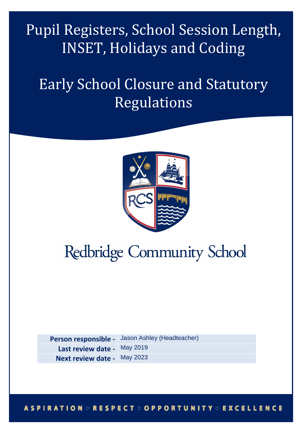Pupil Registers, School Session Length, INSET, Holidays and Coding

# Early School Closure and Statutory Regulations



# **Redbridge Community School**

**Person responsible -**  Jason Ashley (Headteacher) Last review date - May 2019 **Next review date -** May 2023

# **ASPIRATION : RESPECT : OPPORTUNITY : EXCELLENCE**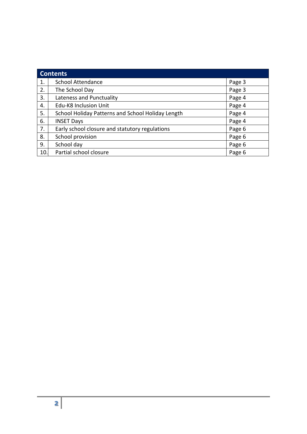| <b>Contents</b> |                                                   |        |  |  |
|-----------------|---------------------------------------------------|--------|--|--|
| 1.              | <b>School Attendance</b>                          | Page 3 |  |  |
| 2.              | The School Day                                    | Page 3 |  |  |
| 3.              | Lateness and Punctuality                          | Page 4 |  |  |
| 4.              | Edu-K8 Inclusion Unit                             | Page 4 |  |  |
| 5.              | School Holiday Patterns and School Holiday Length | Page 4 |  |  |
| 6.              | <b>INSET Days</b>                                 | Page 4 |  |  |
| 7.              | Early school closure and statutory regulations    | Page 6 |  |  |
| 8.              | School provision                                  | Page 6 |  |  |
| 9.              | School day                                        | Page 6 |  |  |
| 10.             | Partial school closure                            | Page 6 |  |  |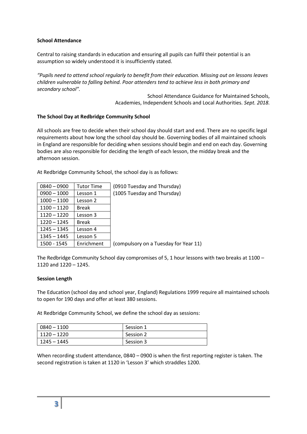# **School Attendance**

Central to raising standards in education and ensuring all pupils can fulfil their potential is an assumption so widely understood it is insufficiently stated.

*"Pupils need to attend school regularly to benefit from their education. Missing out on lessons leaves children vulnerable to falling behind. Poor attenders tend to achieve less in both primary and secondary school".*

> School Attendance Guidance for Maintained Schools, Academies, Independent Schools and Local Authorities. *Sept. 2018.*

# **The School Day at Redbridge Community School**

All schools are free to decide when their school day should start and end. There are no specific legal requirements about how long the school day should be. Governing bodies of all maintained schools in England are responsible for deciding when sessions should begin and end on each day. Governing bodies are also responsible for deciding the length of each lesson, the midday break and the afternoon session.

At Redbridge Community School, the school day is as follows:

| $0840 - 0900$ | <b>Tutor Time</b> | (0910 Tuesday and Thursday)           |
|---------------|-------------------|---------------------------------------|
| $0900 - 1000$ | Lesson 1          | (1005 Tuesday and Thursday)           |
| $1000 - 1100$ | Lesson 2          |                                       |
| $1100 - 1120$ | <b>Break</b>      |                                       |
| $1120 - 1220$ | Lesson 3          |                                       |
| $1220 - 1245$ | <b>Break</b>      |                                       |
| $1245 - 1345$ | Lesson 4          |                                       |
| $1345 - 1445$ | Lesson 5          |                                       |
| 1500 - 1545   | Enrichment        | (compulsory on a Tuesday for Year 11) |

The Redbridge Community School day compromises of 5, 1 hour lessons with two breaks at 1100 – 1120 and 1220 – 1245.

#### **Session Length**

The Education (school day and school year, England) Regulations 1999 require all maintained schools to open for 190 days and offer at least 380 sessions.

At Redbridge Community School, we define the school day as sessions:

| $0840 - 1100$ | Session 1 |
|---------------|-----------|
| $1120 - 1220$ | Session 2 |
| 1245 – 1445   | Session 3 |

When recording student attendance, 0840 – 0900 is when the first reporting register is taken. The second registration is taken at 1120 in 'Lesson 3' which straddles 1200.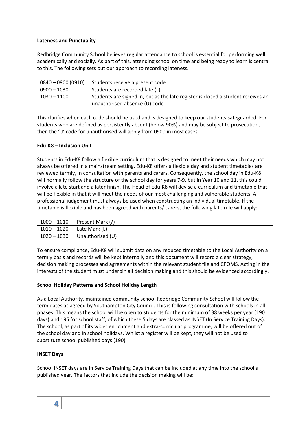### **Lateness and Punctuality**

Redbridge Community School believes regular attendance to school is essential for performing well academically and socially. As part of this, attending school on time and being ready to learn is central to this. The following sets out our approach to recording lateness.

| $0840 - 0900(0910)$ | Students receive a present code                                                  |
|---------------------|----------------------------------------------------------------------------------|
| 0900 – 1030         | Students are recorded late (L)                                                   |
| 1030 – 1100         | Students are signed in, but as the late register is closed a student receives an |
|                     | unauthorised absence (U) code                                                    |

This clarifies when each code should be used and is designed to keep our students safeguarded. For students who are defined as persistently absent (below 90%) and may be subject to prosecution, then the 'U' code for unauthorised will apply from 0900 in most cases.

# **Edu-K8 – Inclusion Unit**

Students in Edu-K8 follow a flexible curriculum that is designed to meet their needs which may not always be offered in a mainstream setting. Edu-K8 offers a flexible day and student timetables are reviewed termly, in consultation with parents and carers. Consequently, the school day in Edu-K8 will normally follow the structure of the school day for years 7-9, but in Year 10 and 11, this could involve a late start and a later finish. The Head of Edu-K8 will devise a curriculum and timetable that will be flexible in that it will meet the needs of our most challenging and vulnerable students. A professional judgement must always be used when constructing an individual timetable. If the timetable is flexible and has been agreed with parents/ carers, the following late rule will apply:

| $1000 - 1010$ | Present Mark (/) |
|---------------|------------------|
| $1010 - 1020$ | Late Mark (L)    |
| $1020 - 1030$ | Unauthorised (U) |

To ensure compliance, Edu-K8 will submit data on any reduced timetable to the Local Authority on a termly basis and records will be kept internally and this document will record a clear strategy, decision making processes and agreements within the relevant student file and CPOMS. Acting in the interests of the student must underpin all decision making and this should be evidenced accordingly.

# **School Holiday Patterns and School Holiday Length**

As a Local Authority, maintained community school Redbridge Community School will follow the term dates as agreed by Southampton City Council. This is following consultation with schools in all phases. This means the school will be open to students for the minimum of 38 weeks per year (190 days) and 195 for school staff, of which these 5 days are classed as INSET (In Service Training Days). The school, as part of its wider enrichment and extra-curricular programme, will be offered out of the school day and in school holidays. Whilst a register will be kept, they will not be used to substitute school published days (190).

# **INSET Days**

School INSET days are In Service Training Days that can be included at any time into the school's published year. The factors that include the decision making will be: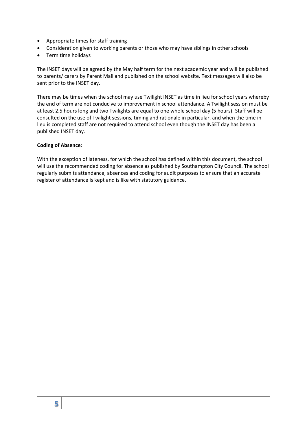- Appropriate times for staff training
- Consideration given to working parents or those who may have siblings in other schools
- Term time holidays

The INSET days will be agreed by the May half term for the next academic year and will be published to parents/ carers by Parent Mail and published on the school website. Text messages will also be sent prior to the INSET day.

There may be times when the school may use Twilight INSET as time in lieu for school years whereby the end of term are not conducive to improvement in school attendance. A Twilight session must be at least 2.5 hours long and two Twilights are equal to one whole school day (5 hours). Staff will be consulted on the use of Twilight sessions, timing and rationale in particular, and when the time in lieu is completed staff are not required to attend school even though the INSET day has been a published INSET day.

#### **Coding of Absence**:

With the exception of lateness, for which the school has defined within this document, the school will use the recommended coding for absence as published by Southampton City Council. The school regularly submits attendance, absences and coding for audit purposes to ensure that an accurate register of attendance is kept and is like with statutory guidance.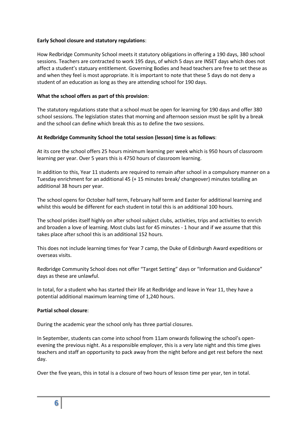# **Early School closure and statutory regulations**:

How Redbridge Community School meets it statutory obligations in offering a 190 days, 380 school sessions. Teachers are contracted to work 195 days, of which 5 days are INSET days which does not affect a student's statuary entitlement. Governing Bodies and head teachers are free to set these as and when they feel is most appropriate. It is important to note that these 5 days do not deny a student of an education as long as they are attending school for 190 days.

# **What the school offers as part of this provision**:

The statutory regulations state that a school must be open for learning for 190 days and offer 380 school sessions. The legislation states that morning and afternoon session must be split by a break and the school can define which break this as to define the two sessions.

# **At Redbridge Community School the total session (lesson) time is as follows**:

At its core the school offers 25 hours minimum learning per week which is 950 hours of classroom learning per year. Over 5 years this is 4750 hours of classroom learning.

In addition to this, Year 11 students are required to remain after school in a compulsory manner on a Tuesday enrichment for an additional 45 (+ 15 minutes break/ changeover) minutes totalling an additional 38 hours per year.

The school opens for October half term, February half term and Easter for additional learning and whilst this would be different for each student in total this is an additional 100 hours.

The school prides itself highly on after school subject clubs, activities, trips and activities to enrich and broaden a love of learning. Most clubs last for 45 minutes - 1 hour and if we assume that this takes place after school this is an additional 152 hours.

This does not include learning times for Year 7 camp, the Duke of Edinburgh Award expeditions or overseas visits.

Redbridge Community School does not offer "Target Setting" days or "Information and Guidance" days as these are unlawful.

In total, for a student who has started their life at Redbridge and leave in Year 11, they have a potential additional maximum learning time of 1,240 hours.

#### **Partial school closure**:

During the academic year the school only has three partial closures.

In September, students can come into school from 11am onwards following the school's openevening the previous night. As a responsible employer, this is a very late night and this time gives teachers and staff an opportunity to pack away from the night before and get rest before the next day.

Over the five years, this in total is a closure of two hours of lesson time per year, ten in total.